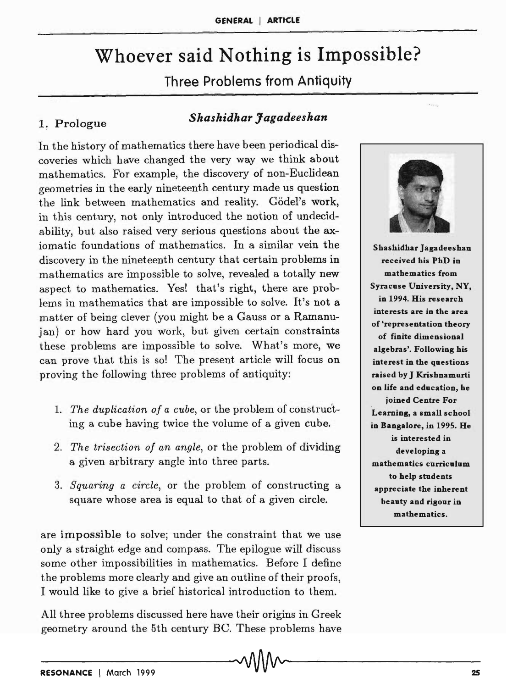# Whoever said Nothing is Impossible?

Three Problems from Antiquity

## 1~ Prologue *Shashidhar Jagadeeshan*

In the history of mathematics there have been periodical discoveries which have changed the very way we think about mathematics. For example, the discovery of non-Euclidean geometries in the early nineteenth century made us question the link between mathematics and reality. Godel's work, in this century, not only introduced the notion of undecidability, but also raised very serious questions about the axiomatic foundations of mathematics. In a similar vein the discovery in the nineteenth century that certain problems in mathematics are impossible to solve, revealed a totally new aspect to mathematics. Yes! that's right, there are problems in mathematics that are impossible to solve. It's not a matter of being clever (you might be a Gauss or a Ramanujan) or how hard you work, but given certain constraints these problems are impossible to solve. What's more, we can prove that this is so! The present article will focus on proving the following three problems of antiquity:

- 1. *The duplication of a cube,* or the problem of construc'ting a cube having twice the volume of a given cube.
- *2. The trisection of an angle,* or the problem of dividing a given arbitrary angle into three parts.
- *3. Squaring a circle,* or the problem of constructing a square whose area is equal to that of a given circle.

are impossible to solve; under the constraint that we use only a straight edge and compass. The epilogue will discuss some other impossibilities in mathematics. Before I define the problems more clearly and give an outline of their proofs, I would like to give a brief historical introduction to them.

All three pro blems discussed here have their origins in Greek geometry around the 5th century BC. These problems have



Shashidhar Jagadeeshan received his PhD in mathematics from Syracuse University, NY, in 1994. His research interests are in the area of 'representation theory of finite dimensional algebras'. Following his interest in the questions raised by J Krishnamurti on life and education, he joined Centre For Learning, a small school in Bangalore, in 1995. He is interested in developing a mathematics curriculum to help students appreciate the inherent beauty and rigour in mathematics.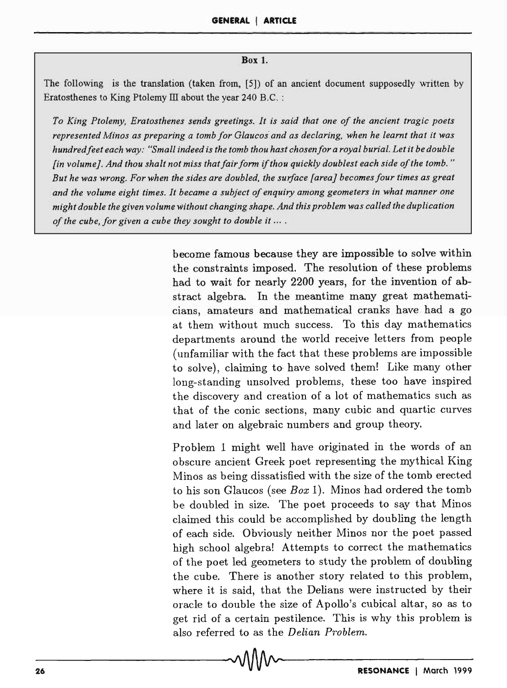#### Box 1.

The following is the translation (taken from, [5]) of an ancient document supposedly written by Eratosthenes to King Ptolemy III about the year 240 B.C. :

*To King Ptolemy, Eratosthenes sends greetings. It is said that one of the ancient tragic poets represented Minos as preparing a tomb for Glaucos and as declaring, when he learnt that it was hundredfeet each way: "Small indeed is the tomb thou hast chosen for a royal burial. Let it be double {in volume}. And thou shalt not miss that fair form* if *thou quickly doublest each side of the tomb. " But he was wrong. For when the sides are doubled, the surface {area} becomesfour times as great and the volume eight times. It became a subject of enquiry among geometers in what manner one might double the given volume without changing shape. And this problem was called the duplication of the cube, for given a cube they sought to double it ....* 

> become famous because they are impossible to solve within the constraints imposed. The resolution of these problems had to wait for nearly 2200 years, for the invention of abstract algebra. In the meantime many great mathematicians, amateurs and mathematical cranks have had a go at them without much success. To this day mathematics departments around the world receive letters from people (unfamiliar with the fact that these problems are impossible to solve), claiming to· have solved them! Like many other long-standing unsolved problems, these too have inspired the discovery and creation of a lot of mathematics such as that of the conic sections, many cubic and quartic curves and later on algebraic numbers and group theory.

> Problem 1 might well have originated in the words of an obscure ancient Greek poet representing the mythical King Minos as being dissatisfied with the size of the tomb erected to his son Glaucos (see *Box* 1). Minos had ordered the tomb be doubled in size. The poet proceeds to say that Minos claimed this could be accomplished by doubling the length of each side. Obviously neither Minos nor the poet passed high school algebra! Attempts to correct the mathematics of the poet led geometers to study the problem of doubling the cube. There is another story related to this problem, where it is said, that the Delians were instructed by their oracle to double the size of Apollo's cubical altar, so as to get rid of a certain pestilence. This is why this problem is also referred to as the *Delian Problem.*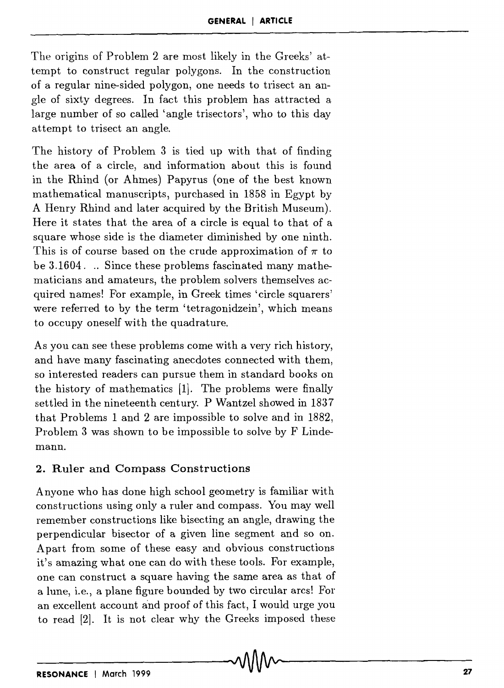The origins of Problem 2 are most likely in the Greeks' attempt to construct regular polygons. In the construction of a regular nine-sided polygon, one needs to trisect an angle of sixty degrees. In fact this problem has attracted a large number of so called 'angle trisectors', who to this day attempt to trisect an angle.

The history of Problem 3 is tied up with that of finding the area of a circle, and information about this is found in the Rhind (or Ahmes) Papyrus (one of the best known mathematical manuscripts, purchased in 1858 in Egypt by A Henry Rhind and later acquired by the British Museum). Here it states that the area of a circle is equal to that of a square whose side is the diameter diminished by one ninth. This is of course based on the crude approximation of  $\pi$  to be 3.1604. .. Since these problems fascinated many mathematicians and amateurs, the problem solvers themselves acquired names! For example, in Greek times 'circle squarers' were referred to by the term 'tetragonidzein', which means to occupy oneself with the quadrature.

As you can see these problems come with a very rich history, and have many fascinating anecdotes connected with them, so interested readers can pursue them in standard books on the history of mathematics [1). The problems were finally settled in the nineteenth century. P Wantzel showed in 1837 that Problems 1 and 2 are impossible to solve and in 1882, Problem 3 was shown to be impossible to solve by F Lindemann.

#### 2. Ruler and Compass Constructions

Anyone who has done high school geometry is familiar with constructions using only a ruler and compass. You may well remember constructions like bisecting an angle, drawing the perpendicular bisector of a given line segment and so on. Apart from some of these easy and obvious constructions it's amazing what one can do with these tools. For example, one can construct a square having the same area as that of a lune, i.e., a plane figure bounded by two circular arcs! For an excellent account and proof of this fact, I would urge you to read [2). It is not clear why the Greeks imposed these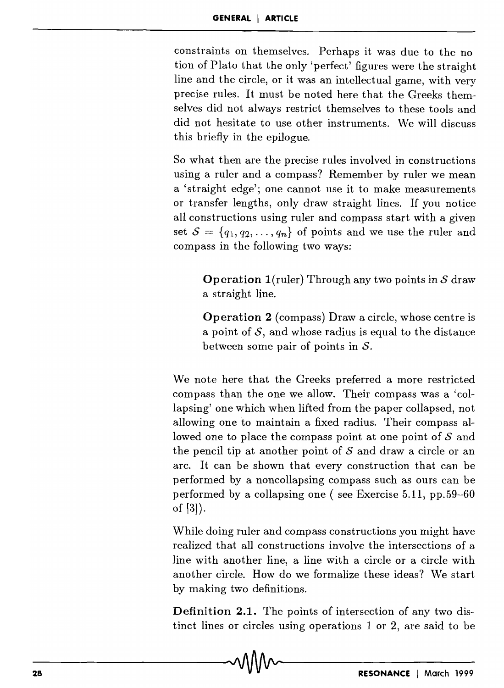constraints on themselves. Perhaps it was due to the notion of Plato that the only 'perfect' figures were the straight line and the circle, or it was an intellectual game, with very precise rules. It must be noted here that the Greeks themselves did not always restrict themselves to these tools and did not hesitate to use other instruments. We will discuss this briefly in the epilogue.

So what then are the precise rules involved in constructions using a ruler and a compass? Remember by ruler we mean a 'straight edge'; one cannot use it to make measurements or transfer lengths, only draw straight lines. If you notice all constructions using ruler and compass start with a given set  $S = \{q_1, q_2, \ldots, q_n\}$  of points and we use the ruler and compass in the following two ways;

**Operation** l(ruler) Through any two points in *S* draw a straight line.

**Operation 2** (compass) Draw a circle, whose centre is a point of  $S$ , and whose radius is equal to the distance between some pair of points in  $S$ .

We note here that the Greeks preferred a more restricted compass than the one we allow. Their compass was a 'collapsing' one which when lifted from the paper collapsed, not allowing one to maintain a fixed radius. Their compass allowed one to place the compass point at one point of  $S$  and the pencil tip at another point of *S* and draw a circle or an arc. It can be shown that every construction that can be performed by a noncollapsing compass such as ours can be performed by a collapsing one ( see Exercise 5.11, pp.59-60 of [3]).

While doing ruler and compass constructions you might have realized that all constructions involve the intersections of a line with another line, a line with a circle or a circle with another circle. How do we formalize these ideas? We start by making two definitions.

**Definition 2.1.** The points of intersection of any two distinct lines or circles using operations 1 or 2, are said to be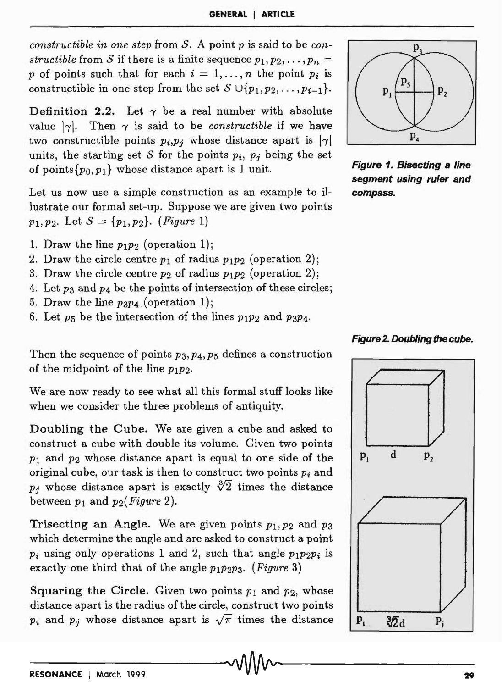*constructible in one step* from S. A point *p* is said to be *constructible* from *S* if there is a finite sequence  $p_1, p_2, \ldots, p_n =$ *p* of points such that for each  $i = 1, \ldots, n$  the point  $p_i$  is constructible in one step from the set  $S \cup \{p_1, p_2, \ldots, p_{i-1}\}.$ 

Definition 2.2. Let  $\gamma$  be a real number with absolute value  $|\gamma|$ . Then  $\gamma$  is said to be *constructible* if we have two constructible points  $p_i, p_j$  whose distance apart is  $|\gamma|$ units, the starting set *S* for the points  $p_i$ ,  $p_j$  being the set of points $\{p_0, p_1\}$  whose distance apart is 1 unit.

Let us now use a simple construction as an example to illustrate our formal set-up. Suppose we are given two points *P*<sub>1</sub>*, P*<sub>2</sub>*.* Let  $S = \{p_1, p_2\}$ *. (Figure 1)* 

- 1. Draw the line  $p_1p_2$  (operation 1);
- 2. Draw the circle centre  $p_1$  of radius  $p_1p_2$  (operation 2);
- 3. Draw the circle centre  $p_2$  of radius  $p_1p_2$  (operation 2);
- 4. Let *P3* and P4 be the points of intersection of these circles;
- 5. Draw the line  $p_3p_4$  (operation 1);
- 6. Let  $p_5$  be the intersection of the lines  $p_1p_2$  and  $p_3p_4$ .



Figure 1. Bisecting a line segment using ruler and compass.





Then the sequence of points *P3, P4, P5* defines a construction of the midpoint of the line *PIP2.* 

We are now ready to see what all this formal stuff looks like' when we consider the three problems of antiquity.

Doubling the Cube. We are given a cube and asked to construct a cube with double its volume. Given two points PI and *P2* whose distance apart is equal to one side of the original cube, our task is then to construct two points *Pi* and  $p_i$  whose distance apart is exactly  $\sqrt[3]{2}$  times the distance between  $p_1$  and  $p_2$ (*Figure 2*).

Trisecting an Angle. We are given points  $p_1, p_2$  and  $p_3$ which determine the angle and are asked to construct a point  $p_i$  using only operations 1 and 2, such that angle  $p_1p_2p_i$  is exactly one third that of the angle *PIP2P3. (Figure* 3)

Squaring the Circle. Given two points  $p_1$  and  $p_2$ , whose distance apart is the radius of the circle, construct two points  $p_i$  and  $p_j$  whose distance apart is  $\sqrt{\pi}$  times the distance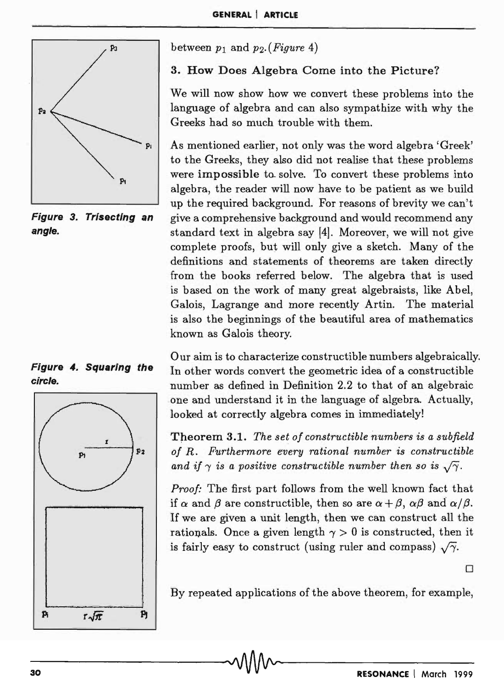

Figure 3. Trisecting an angle.





between  $p_1$  and  $p_2$ . (*Figure 4*)

3. How Does Algebra Come into the Picture?

We will now show how we convert these problems into the language of algebra and can also sympathize with why the Greeks had so much trouble with them.

As mentioned earlier, not only was the word algebra 'Greek' to the Greeks, they also did not realise that these problems were impossible to solve. To convert these problems into algebra, the reader will now have to be patient as we build up the required background. For reasons of brevity we can't give a comprehensive background and would recommend any standard text in algebra say [4]. Moreover, we will not give complete proofs, but will only give a sketch. Many of the definitions and statements of theorems are taken directly from the books referred below. The algebra that is used is based on the work of many great algebraists, like Abel, Galois, Lagrange and more recently Artin. The material is also the beginnings of the beautiful area of mathematics known as Galois theory.

Our aim is to characterize constructible numbers algebraically. In other words convert the geometric idea of a constructible number as defined in Definition 2.2 to that of an algebraic -one and understand it in the language of algebra. Actually, looked at correctly algebra comes in immediately!

Theorem 3.1. The set of constructible numbers is a subfield *of R. Furthermore every rational number is constructible*  and if  $\gamma$  is a positive constructible number then so is  $\sqrt{\gamma}$ .

*Proof:* The first part follows from the well known fact that if  $\alpha$  and  $\beta$  are constructible, then so are  $\alpha + \beta$ ,  $\alpha\beta$  and  $\alpha/\beta$ . If we are given a unit length, then we can construct all the rationals. Once a given length  $\gamma > 0$  is constructed, then it is fairly easy to construct (using ruler and compass)  $\sqrt{\gamma}$ .

o

By repeated applications of the above theorem, for example,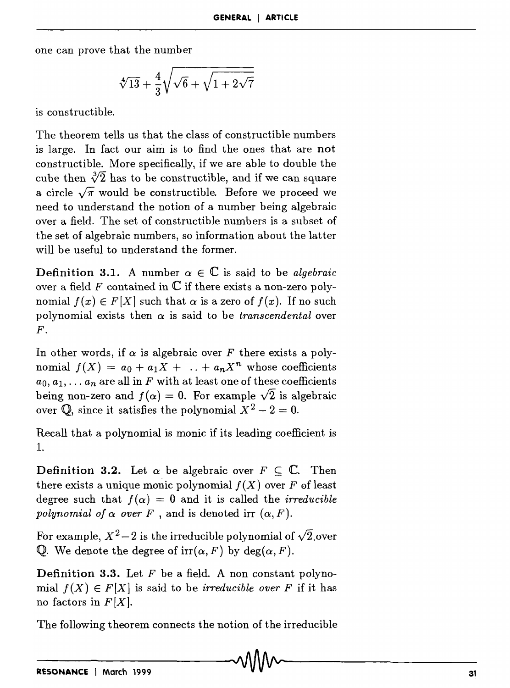one can prove that the number

$$
\sqrt[4]{13} + \frac{4}{3}\sqrt{\sqrt{6} + \sqrt{1 + 2\sqrt{7}}}
$$

is constructible.

The theorem tells us that the class of constructible numbers is large. In fact our aim is to find the ones that are not constructible. More specifically, if we are able to double the cube then  $\sqrt[3]{2}$  has to be constructible, and if we can square a circle  $\sqrt{\pi}$  would be constructible. Before we proceed we need to understand the notion of a number being algebraic over a field. The set of constructible numbers is a subset of the set of algebraic numbers, so information about the latter will be useful to understand the former.

**Definition 3.1.** A number  $\alpha \in \mathbb{C}$  is said to be *algebraic* over a field F contained in  $\mathbb C$  if there exists a non-zero polynomial  $f(x) \in F[X]$  such that  $\alpha$  is a zero of  $f(x)$ . If no such polynomial exists then  $\alpha$  is said to be *transcendental* over *F.* 

In other words, if  $\alpha$  is algebraic over F there exists a polynomial  $f(X) = a_0 + a_1X + ... + a_nX^n$  whose coefficients  $a_0, a_1, \ldots, a_n$  are all in F with at least one of these coefficients being non-zero and  $f(\alpha) = 0$ . For example  $\sqrt{2}$  is algebraic over  $\mathbb{Q}$ , since it satisfies the polynomial  $X^2 - 2 = 0$ .

Recall that a polynomial is monic if its leading coefficient is 1.

**Definition 3.2.** Let  $\alpha$  be algebraic over  $F \subseteq \mathbb{C}$ . Then there exists a unique monic polynomial  $f(X)$  over F of least degree such that  $f(\alpha) = 0$  and it is called the *irreducible polynomial of*  $\alpha$  *over*  $F$ , and is denoted irr  $(\alpha, F)$ .

For example,  $X^2-2$  is the irreducible polynomial of  $\sqrt{2}$ , over Q. We denote the degree of  $irr(\alpha, F)$  by deg( $\alpha, F$ ).

**Definition 3.3.** Let  $F$  be a field. A non constant polynomial  $f(X) \in F[X]$  is said to be *irreducible over* F if it has no factors in  $F[X]$ .

The following theorem connects the notion of the irreducible  $\sim$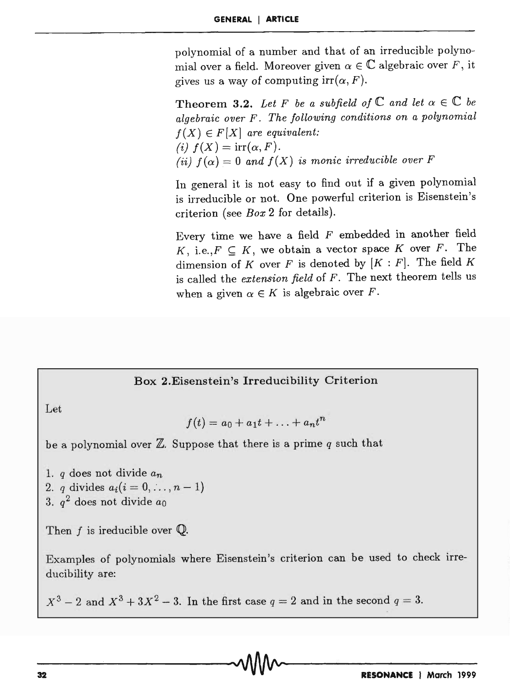polynomial of a number and that of an irreducible polynomial over a field. Moreover given  $\alpha \in \mathbb{C}$  algebraic over F, it gives us a way of computing  $irr(\alpha, F)$ .

Theorem 3.2. Let F be a subfield of  $\mathbb C$  and let  $\alpha \in \mathbb C$  be *algebraic over* F. *The following conditions on a polynomial*   $f(X) \in F[X]$  are equivalent: (i)  $f(X) = \text{irr}(\alpha, F)$ . (ii)  $f(\alpha) = 0$  and  $f(X)$  is monic irreducible over F

In general it is not easy to find out if a given polynomial is irreducible or not. One powerful criterion is Eisenstein's criterion (see *Box* 2 for details).

Every time we have a field  $F$  embedded in another field K, i.e.,  $F \subseteq K$ , we obtain a vector space K over F. The dimension of K over F is denoted by  $[K : F]$ . The field K is called the *extension field* of *F.* The next theorem tells us when a given  $\alpha \in K$  is algebraic over F.

### Box 2.Eisenstein's Irreducibility Criterion

Let

$$
f(t) = a_0 + a_1t + \ldots + a_nt^n
$$

be a polynomial over  $\mathbb Z$ . Suppose that there is a prime  $q$  such that

*1. q* does not divide *an* 

- 2. *q* divides  $a_i(i = 0, ..., n 1)$
- *3. q2* does not divide *ao*

Then  $f$  is ireducible over  $\mathbb Q$ .

Examples of polynomials where Eisenstein's criterion can be used to check irreducibility are:

 $X^3 - 2$  and  $X^3 + 3X^2 - 3$ . In the first case  $q = 2$  and in the second  $q = 3$ .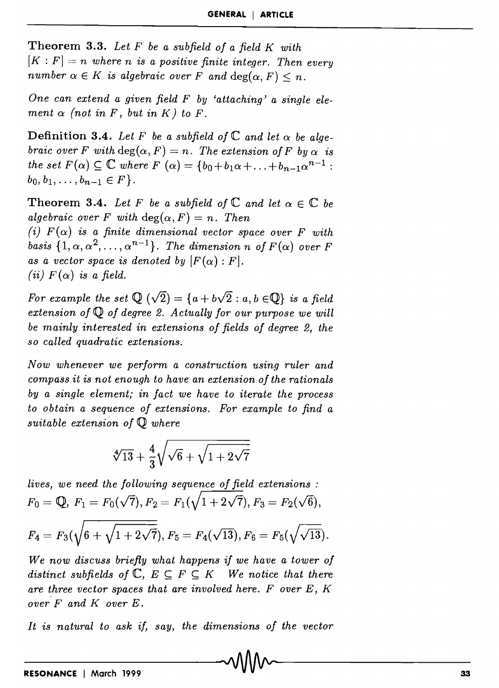**Theorem 3.3.** *Let F be a subfield of a field K with*   $[K : F] = n$  where *n* is a positive finite integer. Then every *number*  $\alpha \in K$  *is algebraic over F* and  $\deg(\alpha, F) \leq n$ .

*One can extend a given field F by 'attaching' a single element*  $\alpha$  (not in F, but in K) to F.

**Definition 3.4.** Let F be a subfield of  $\mathbb{C}$  and let  $\alpha$  be alge*braic over F with*  $deg(\alpha, F) = n$ . The extension of F by  $\alpha$  is *the set*  $F(\alpha) \subseteq \mathbb{C}$  *where*  $F(\alpha) = \{b_0 + b_1\alpha + \ldots + b_{n-1}\alpha^{n-1}:\}$  $b_0, b_1, \ldots, b_{n-1} \in F$ .

**Theorem 3.4.** Let F be a subfield of  $\mathbb{C}$  and let  $\alpha \in \mathbb{C}$  be *algebraic over F with*  $deg(\alpha, F) = n$ . Then (i)  $F(\alpha)$  is a finite dimensional vector space over F with

*basis*  $\{1, \alpha, \alpha^2, \ldots, \alpha^{n-1}\}$ . *The dimension n of*  $F(\alpha)$  *over*  $F$ *as a vector space is denoted by*  $[F(\alpha):F].$ (*ii*)  $F(\alpha)$  *is a field.* 

*For example the set*  $\mathbb{Q}(\sqrt{2}) = \{a + b\sqrt{2} : a, b \in \mathbb{Q}\}\$ is a field *extension of* Q *of degree* 2. *Actually for our purpose we will be mainly interested in extensions of fields of degree* 2, *the so called quadratic extensions.* 

*Now whenever we perform a construction using ruler and compass it is not enough to have an extension of the rationals by a single element; in fact we have to iterate the process to obtain a sequence of extensions. For example to find a suitable extension of* Q *where* 

$$
\sqrt[4]{13}+\frac{4}{3}\sqrt{\sqrt{6}+\sqrt{1+2\sqrt{7}}}
$$

*lives, we need the following sequence of field extensions :*   $F_0 = \mathbb{Q}, F_1 = F_0(\sqrt{7}), F_2 = F_1(\sqrt{1+2\sqrt{7}}), F_3 = F_2(\sqrt{6}),$ 

$$
F_4 = F_3(\sqrt{6 + \sqrt{1 + 2\sqrt{7}}}), F_5 = F_4(\sqrt{13}), F_6 = F_5(\sqrt{\sqrt{13}}).
$$

*We now discuss briefly what happens if we have a tower of distinct subfields of*  $\mathbb{C}$ ,  $E \subseteq F \subseteq K$  We notice that there *are three vector spaces that are involved here. F over E, K over* F and K over E.

*It is natural to ask if, say, the dimensions of the vector*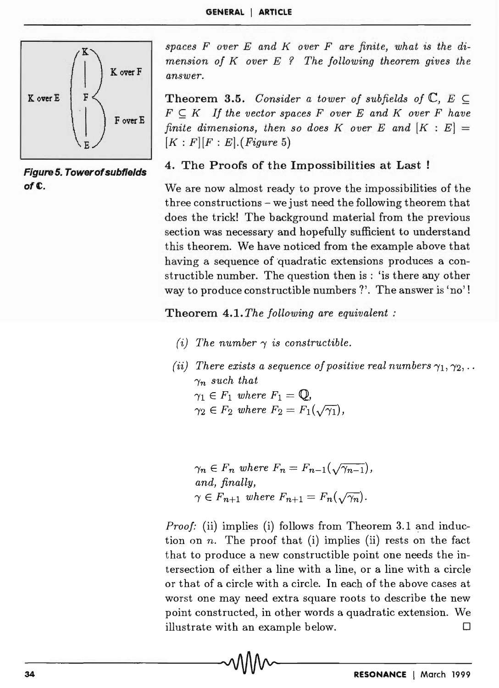

Figure 5. Towerof subfields ofC,.

spaces F over E and K over F are finite, what is the di*mension of Kover E* ? *The following theorem gives the answer.* 

**Theorem 3.5.** *Consider a tower of subfields of*  $\mathbb{C}$ ,  $E \subset$  $F \subset K$  If the vector spaces F over E and K over F have *finite dimensions, then so does K over E and*  $[K : E] =$  $[K : F][F : E]$ . *(Figure 5)* 

### 4. The Proofs of the Impossibilities at Last

We are now almost ready to prove the impossibilities of the three constructions - we just need the following theorem that does the trick! The background material from the previous section was necessary and hopefully sufficient to understand this theorem. We have noticed from the example above that having a sequence of quadratic extensions produces a constructible number. The question then is : 'is there any other way to produce constructible numbers ?'. The answer is 'no'!

Theorem 4.1. *The following are equivalent:* 

- (*i*) The number  $\gamma$  is constructible.
- (ii) There exists a sequence of positive real numbers  $\gamma_1, \gamma_2, \ldots$  $\gamma_n$  such that  $\gamma_1 \in F_1$  where  $F_1 = \mathbb{Q},$ <br>  $\gamma_2 \in F_2$  where  $F_2 = F_1(\sqrt{\gamma_1}).$

 $\gamma_n \in F_n$  where  $F_n = F_{n-1}(\sqrt{\gamma_{n-1}})$ , *and, finally,*   $\gamma \in F_{n+1}$  where  $F_{n+1} = F_n(\sqrt{\gamma_n}).$ 

*Proof:* (ii) implies (i) follows from Theorem 3.1 and induction on *n.* The proof that (i) implies (ii) rests on the fact that to produce a new constructible point one needs the intersection of either a line with a line, or a line with a circle or that of a circle with a circle. In each of the above cases at worst one may need extra square roots to describe the new point constructed, in other words a quadratic extension. We illustrate with an example below.  $\Box$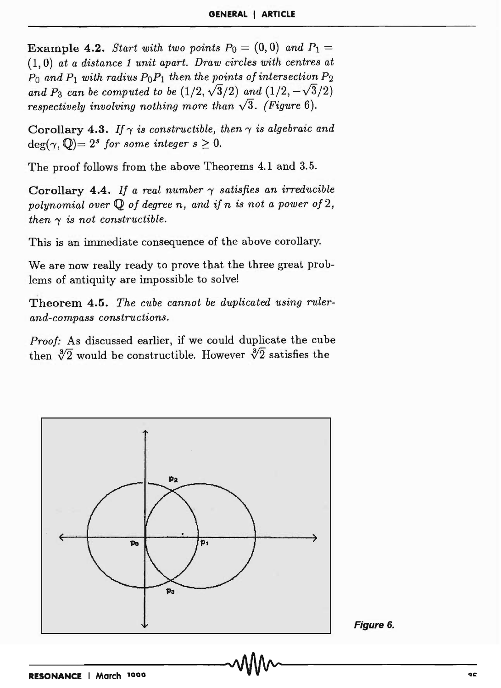**Example 4.2.** *Start with two points*  $P_0 = (0,0)$  *and*  $P_1 =$ (1,0) *at a distance* 1 *unit apart. Draw circles with centres at*   $P_0$  and  $P_1$  with radius  $P_0P_1$  then the points of intersection  $P_2$ and  $P_3$  can be computed to be  $(1/2, \sqrt{3}/2)$  and  $(1/2, -\sqrt{3}/2)$ *respectively involving nothing more than*  $\sqrt{3}$ *. (Figure 6).* 

Corollary 4.3. If  $\gamma$  *is constructible, then*  $\gamma$  *is algebraic and*  $deg(\gamma, \mathbb{Q}) = 2^s$  *for some integer s*  $\geq 0$ .

The proof follows from the above Theorems 4.1 and 3.5.

Corollary 4.4. If a real number  $\gamma$  satisfies an irreducible *polynomial over* Q *of degree n, and if n is not a power of 2, then*  $\gamma$  *is not constructible.* 

This is an immediate consequence of the above corollary.

We are now really ready to prove that the three great problems of antiquity are impossible to solve!

Theorem 4.5. *The cube cannot be duplicated using rulerand-compass constructions.* 

*Proof:* As discussed earlier, if we could duplicate the cube then  $\sqrt[3]{2}$  would be constructible. However  $\sqrt[3]{2}$  satisfies the



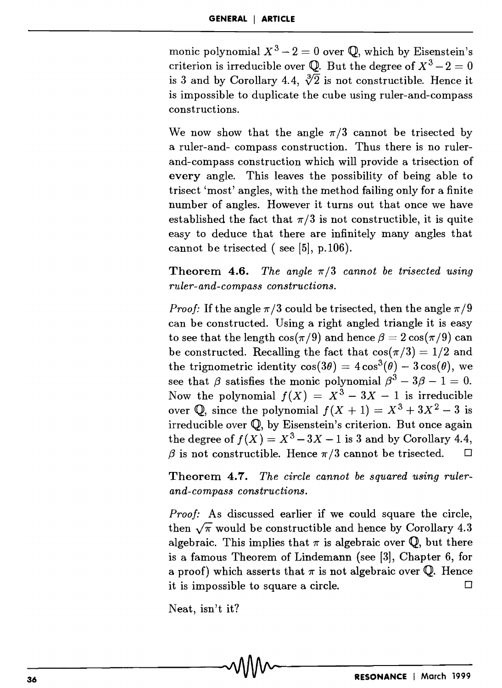monic polynomial  $X^3 - 2 = 0$  over  $\mathbb{Q}$ , which by Eisenstein's criterion is irreducible over  $\mathbb{Q}$ . But the degree of  $X^3 - 2 = 0$ is 3 and by Corollary 4.4,  $\sqrt[3]{2}$  is not constructible. Hence it is impossible to duplicate the cube using ruler-and-compass constructions.

We now show that the angle  $\pi/3$  cannot be trisected by a ruler-and- compass construction. Thus there is no rulerand-compass construction which will provide a trisection of every angle. This leaves the possibility of being able to trisect 'most' angles, with the method failing only for a finite number of angles. However it turns out that once we have established the fact that  $\pi/3$  is not constructible, it is quite easy to deduce that there are infinitely many angles that cannot be trisected (see  $[5]$ , p.106).

**Theorem 4.6.** *The angle*  $\pi/3$  *cannot be trisected using ruler-and-compass constructions.* 

*Proof:* If the angle  $\pi/3$  could be trisected, then the angle  $\pi/9$ can be constructed. Using a right angled triangle it is easy to see that the length  $\cos(\pi/9)$  and hence  $\beta = 2 \cos(\pi/9)$  can be constructed. Recalling the fact that  $\cos(\pi/3) = 1/2$  and the trignometric identity  $cos(3\theta) = 4 cos^3(\theta) - 3 cos(\theta)$ , we see that  $\beta$  satisfies the monic polynomial  $\beta^3 - 3\beta - 1 = 0$ . Now the polynomial  $f(X) = X^3 - 3X - 1$  is irreducible over  $\mathbb{Q}$ , since the polynomial  $f(X + 1) = X^3 + 3X^2 - 3$  is irreducible over Q, by Eisenstein's criterion. But once again the degree of  $f(X) = X^3 - 3X - 1$  is 3 and by Corollary 4.4,  $\beta$  is not constructible. Hence  $\pi/3$  cannot be trisected.  $\Box$ 

Theorem 4.7. *The circle cannot be squared using rulerand-compass constructions.* 

*Proof:* As discussed earlier if we could square the circle, then  $\sqrt{\pi}$  would be constructible and hence by Corollary 4.3 algebraic. This implies that  $\pi$  is algebraic over Q, but there is a famous Theorem of Lindemann (see [3], Chapter 6, for a proof) which asserts that  $\pi$  is not algebraic over Q. Hence it is impossible to square a circle.  $\Box$ 

Neat, isn't it?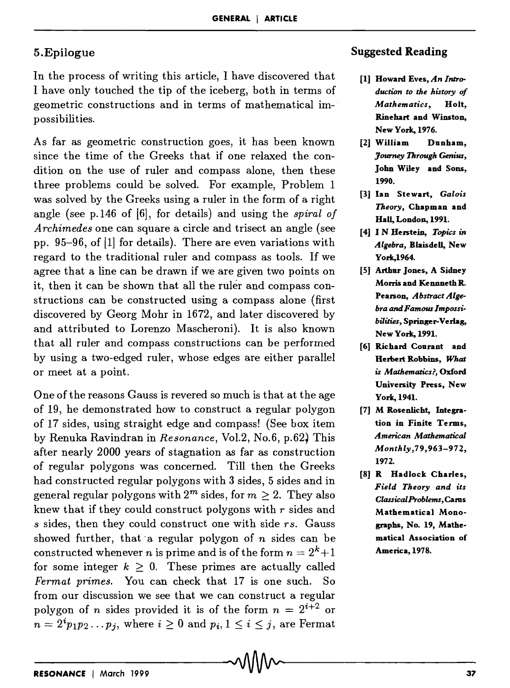#### 5.Epilogue

In the process of writing this article, I have discovered that I have only touched the tip of the iceberg, both in terms of geometric constructions and in terms of mathematical impossibilities.

As far as geometric construction goes, it has been known since the time of the Greeks that if one relaxed the condition on the use of ruler and compass alone, then these three problems could be solved. For example, Problem 1 was solved by the Greeks using a ruler in the form of a right angle (see p.146 of [6], for details) and using the *spiral of Archimedes* one can square a circle and trisect an angle (see pp. 95-96, of [1] for details). There are even variations with regard to the traditional ruler and compass as tools. If we agree that a line can be drawn if we are given two points on it, then it can be shown that all the ruler and compass constructions can be constructed using a compass alone (first discovered by Georg Mohr in 1672, and later discovered by and attributed to Lorenzo Mascheroni). It is also known that all ruler and compass constructions can be performed by using a two-edged ruler, whose edges are either parallel or meet at a point.

One of the reasons Gauss is revered so much is that at the age of 19, he demonstrated how to construct a regular polygon of 17 sides, using straight edge and compass! (See box item by Renuka Ravindran in *Resonance,* Vo1.2, No.6, p.62~ This after nearly 2000 years of stagnation as far as construction of regular polygons was concerned. Till then the Greeks had constructed regular polygons with 3 sides, 5 sides and in general regular polygons with  $2^m$  sides, for  $m \ge 2$ . They also knew that if they could construct polygons with  $r$  sides and *s* sides, then they could construct one with side rs. Gauss showed further, that· a regular polygon of *n* sides can be constructed whenever *n* is prime and is of the form  $n = 2^k + 1$ for some integer  $k \geq 0$ . These primes are actually called *Fermat primes.* You can check that 17 is one such. So from our discussion we see that we can construct a regular polygon of *n* sides provided it is of the form  $n = 2^{i+2}$  or  $n = 2^{i} p_1 p_2 \dots p_j$ , where  $i \ge 0$  and  $p_i, 1 \le i \le j$ , are Fermat

#### Suggested Reading

- [1] Howard Eves, *An Introduction to the history of Mathematics,* Holt, Rinehart and Winston, New York, 1976.
- [2] William Dunham, *Journey Through Genius,*  John Wiley and Sons, 1990.
- [3] Ian Stewart, *Galois Theory,* Chapman and Hall, London, 1991.
- [4] I N Herstein, *Topics in Algebra,* Blaisdell, New York,1964.
- [5] Arthur Jones, A Sidney Morris and Kennneth R. Pearson, *Abstract Algebra and Famous Impossi*bilities, Springer-Verlag, New York, 1991.
- [61 Richard Courant and Herbert Robbins, *What is Mathematics?,* Oxford University Press, New York, 1941.
- [7] M Rosenlicht, Integration in Finite Terms, *American Mathematical Monthly,79,963-972,*  1972.
- [8] R Hadlock Charles, *Field Theory and its ClassicalProblems,* Cams Mathematical Monographs, No. 19, Mathematical Association of America, 1978.